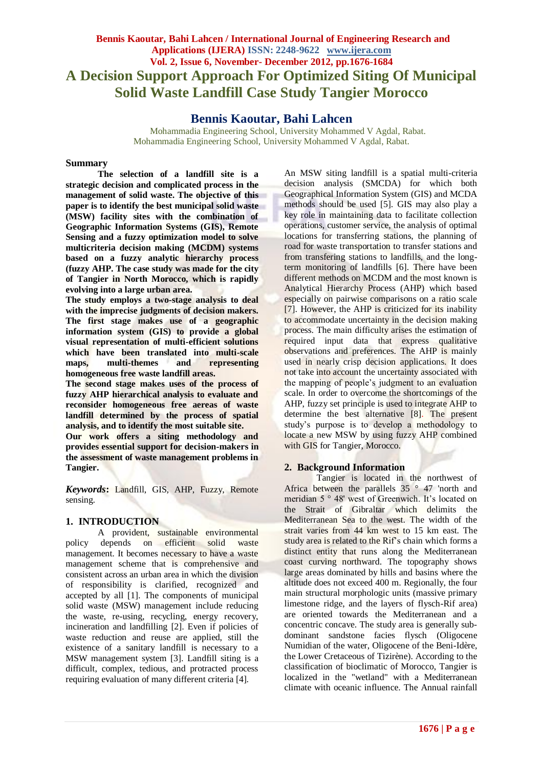# **Bennis Kaoutar, Bahi Lahcen / International Journal of Engineering Research and Applications (IJERA) ISSN: 2248-9622 www.ijera.com Vol. 2, Issue 6, November- December 2012, pp.1676-1684 A Decision Support Approach For Optimized Siting Of Municipal Solid Waste Landfill Case Study Tangier Morocco**

# **Bennis Kaoutar, Bahi Lahcen**

Mohammadia Engineering School, University Mohammed V Agdal, Rabat. Mohammadia Engineering School, University Mohammed V Agdal, Rabat.

#### **Summary**

**The selection of a landfill site is a strategic decision and complicated process in the management of solid waste. The objective of this paper is to identify the best municipal solid waste (MSW) facility sites with the combination of Geographic Information Systems (GIS), Remote Sensing and a fuzzy optimization model to solve multicriteria decision making (MCDM) systems based on a fuzzy analytic hierarchy process (fuzzy AHP. The case study was made for the city of Tangier in North Morocco, which is rapidly evolving into a large urban area.**

**The study employs a two-stage analysis to deal with the imprecise judgments of decision makers. The first stage makes use of a geographic information system (GIS) to provide a global visual representation of multi-efficient solutions which have been translated into multi-scale maps, multi-themes and representing homogeneous free waste landfill areas.** 

**The second stage makes uses of the process of fuzzy AHP hierarchical analysis to evaluate and reconsider homogeneous free aereas of waste landfill determined by the process of spatial analysis, and to identify the most suitable site.**

**Our work offers a siting methodology and provides essential support for decision-makers in the assessment of waste management problems in Tangier.** 

*Keywords***:** Landfill, GIS, AHP, Fuzzy, Remote sensing.

# **1. INTRODUCTION**

A provident, sustainable environmental policy depends on efficient solid waste management. It becomes necessary to have a waste management scheme that is comprehensive and consistent across an urban area in which the division of responsibility is clarified, recognized and accepted by all [1]. The components of municipal solid waste (MSW) management include reducing the waste, re-using, recycling, energy recovery, incineration and landfilling [2]. Even if policies of waste reduction and reuse are applied, still the existence of a sanitary landfill is necessary to a MSW management system [3]. Landfill siting is a difficult, complex, tedious, and protracted process requiring evaluation of many different criteria [4].

An MSW siting landfill is a spatial multi-criteria decision analysis (SMCDA) for which both Geographical Information System (GIS) and MCDA methods should be used [5]. GIS may also play a key role in maintaining data to facilitate collection operations, customer service, the analysis of optimal locations for transferring stations, the planning of road for waste transportation to transfer stations and from transfering stations to landfills, and the longterm monitoring of landfills [6]. There have been different methods on MCDM and the most known is Analytical Hierarchy Process (AHP) which based especially on pairwise comparisons on a ratio scale [7]. However, the AHP is criticized for its inability to accommodate uncertainty in the decision making process. The main difficulty arises the estimation of required input data that express qualitative observations and preferences. The AHP is mainly used in nearly crisp decision applications. It does not take into account the uncertainty associated with the mapping of people's judgment to an evaluation scale. In order to overcome the shortcomings of the AHP, fuzzy set principle is used to integrate AHP to determine the best alternative [8]. The present study's purpose is to develop a methodology to locate a new MSW by using fuzzy AHP combined with GIS for Tangier, Morocco.

# **2. Background Information**

Tangier is located in the northwest of Africa between the parallels 35 ° 47 'north and meridian 5 ° 48' west of Greenwich. It's located on the Strait of Gibraltar which delimits the Mediterranean Sea to the west. The width of the strait varies from 44 km west to 15 km east. The study area is related to the Rif's chain which forms a distinct entity that runs along the Mediterranean coast curving northward. The topography shows large areas dominated by hills and basins where the altitude does not exceed 400 m. Regionally, the four main structural morphologic units (massive primary limestone ridge, and the layers of flysch-Rif area) are oriented towards the Mediterranean and a concentric concave. The study area is generally subdominant sandstone facies flysch (Oligocene Numidian of the water, Oligocene of the Beni-Idère, the Lower Cretaceous of Tizirène). According to the classification of bioclimatic of Morocco, Tangier is localized in the "wetland" with a Mediterranean climate with oceanic influence. The Annual rainfall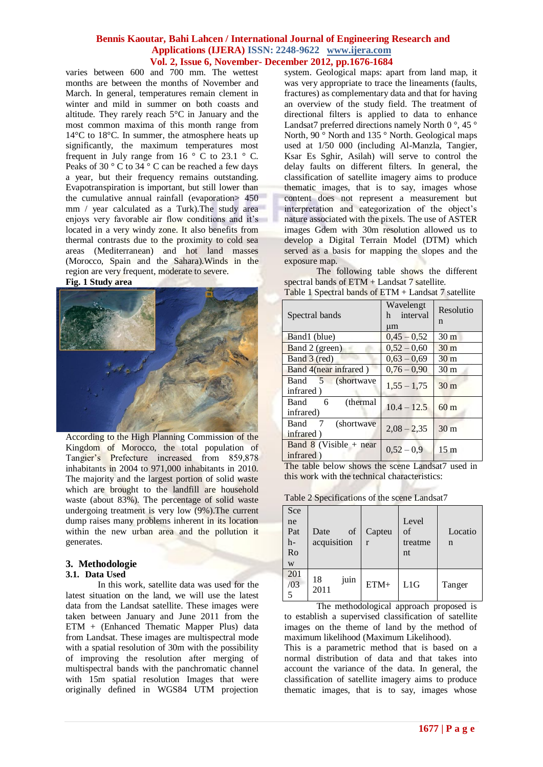varies between 600 and 700 mm. The wettest months are between the months of November and March. In general, temperatures remain clement in winter and mild in summer on both coasts and altitude. They rarely reach 5°C in January and the most common maxima of this month range from 14°C to 18°C. In summer, the atmosphere heats up significantly, the maximum temperatures most frequent in July range from 16  $\degree$  C to 23.1  $\degree$  C. Peaks of 30  $\degree$  C to 34  $\degree$  C can be reached a few days a year, but their frequency remains outstanding. Evapotranspiration is important, but still lower than the cumulative annual rainfall (evaporation> 450 mm / year calculated as a Turk). The study area enjoys very favorable air flow conditions and it's located in a very windy zone. It also benefits from thermal contrasts due to the proximity to cold sea areas (Mediterranean) and hot land masses (Morocco, Spain and the Sahara).Winds in the region are very frequent, moderate to severe.



According to the High Planning Commission of the Kingdom of Morocco, the total population of Tangier's Prefecture increased from 859,878 inhabitants in 2004 to 971,000 inhabitants in 2010. The majority and the largest portion of solid waste which are brought to the landfill are household waste (about 83%). The percentage of solid waste undergoing treatment is very low (9%).The current dump raises many problems inherent in its location within the new urban area and the pollution it generates.

# **3. Methodologie**

#### **3.1. Data Used**

In this work, satellite data was used for the latest situation on the land, we will use the latest data from the Landsat satellite. These images were taken between January and June 2011 from the ETM + (Enhanced Thematic Mapper Plus) data from Landsat. These images are multispectral mode with a spatial resolution of 30m with the possibility of improving the resolution after merging of multispectral bands with the panchromatic channel with 15m spatial resolution Images that were originally defined in WGS84 UTM projection

system. Geological maps: apart from land map, it was very appropriate to trace the lineaments (faults, fractures) as complementary data and that for having an overview of the study field. The treatment of directional filters is applied to data to enhance Landsat7 preferred directions namely North 0 $\degree$ , 45 $\degree$ North, 90<sup>°</sup> North and 135<sup>°</sup> North. Geological maps used at 1/50 000 (including Al-Manzla, Tangier, Ksar Es Sghir, Asilah) will serve to control the delay faults on different filters. In general, the classification of satellite imagery aims to produce thematic images, that is to say, images whose content does not represent a measurement but interpretation and categorization of the object's nature associated with the pixels. The use of ASTER images Gdem with 30m resolution allowed us to develop a Digital Terrain Model (DTM) which served as a basis for mapping the slopes and the exposure map.

The following table shows the different spectral bands of ETM + Landsat 7 satellite.

| Spectral bands                        | Wavelengt<br>h interval<br>$\mu$ m | Resolutio<br>n  |
|---------------------------------------|------------------------------------|-----------------|
| Band1 (blue)                          | $0,45-0,52$                        | 30 <sub>m</sub> |
| Band 2 (green)                        | $0.52 - 0.60$                      | 30 <sub>m</sub> |
| Band 3 (red)                          | $0,63 - 0,69$                      | 30 <sub>m</sub> |
| Band 4(near infrared)                 | $0,76 - 0.90$                      | 30 <sub>m</sub> |
| Band 5 (shortwave<br>infrared)        | $1,55 - 1,75$                      | 30 <sub>m</sub> |
| Band 6<br>(thermal)<br>infrared)      | $10.4 - 12.5$                      | 60 <sub>m</sub> |
| Band 7<br>(shortwave)<br>infrared)    | $2,08 - 2,35$                      | 30 <sub>m</sub> |
| Band $8$ (Visible + near<br>infrared) | $0.52 - 0.9$                       | 15 <sub>m</sub> |

Table 1 Spectral bands of ETM + Landsat 7 satellite

The table below shows the scene Landsat7 used in this work with the technical characteristics:

Table 2 Specifications of the scene Landsat7

| Sce<br>ne<br>Pat<br>h-<br>Ro<br>W | of<br>Date<br>acquisition | Capteu<br>r | Level<br>of<br>treatme<br>nt | Locatio<br>n |  |
|-----------------------------------|---------------------------|-------------|------------------------------|--------------|--|
| 201<br>/03<br>5                   | juin<br>18<br>2011        | ETM+        | L1G                          | Tanger       |  |

The methodological approach proposed is to establish a supervised classification of satellite images on the theme of land by the method of maximum likelihood (Maximum Likelihood).

This is a parametric method that is based on a normal distribution of data and that takes into account the variance of the data. In general, the classification of satellite imagery aims to produce thematic images, that is to say, images whose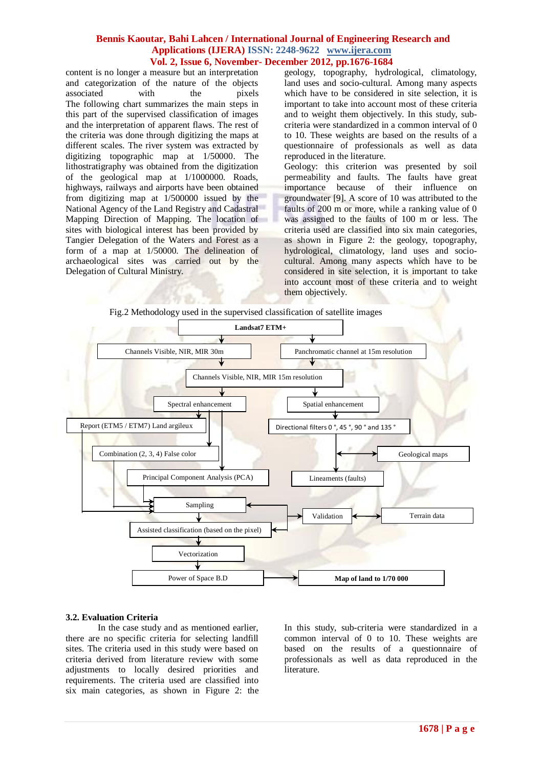content is no longer a measure but an interpretation and categorization of the nature of the objects associated with the pixels The following chart summarizes the main steps in this part of the supervised classification of images and the interpretation of apparent flaws. The rest of the criteria was done through digitizing the maps at different scales. The river system was extracted by digitizing topographic map at 1/50000. The lithostratigraphy was obtained from the digitization of the geological map at 1/1000000. Roads, highways, railways and airports have been obtained from digitizing map at 1/500000 issued by the National Agency of the Land Registry and Cadastral Mapping Direction of Mapping. The location of sites with biological interest has been provided by Tangier Delegation of the Waters and Forest as a form of a map at 1/50000. The delineation of archaeological sites was carried out by the Delegation of Cultural Ministry.

geology, topography, hydrological, climatology, land uses and socio-cultural. Among many aspects which have to be considered in site selection, it is important to take into account most of these criteria and to weight them objectively. In this study, subcriteria were standardized in a common interval of 0 to 10. These weights are based on the results of a questionnaire of professionals as well as data reproduced in the literature.

Geology: this criterion was presented by soil permeability and faults. The faults have great importance because of their influence on groundwater [9]. A score of 10 was attributed to the faults of 200 m or more, while a ranking value of 0 was assigned to the faults of 100 m or less. The criteria used are classified into six main categories, as shown in Figure 2: the geology, topography, hydrological, climatology, land uses and sociocultural. Among many aspects which have to be considered in site selection, it is important to take into account most of these criteria and to weight them objectively.





#### **3.2. Evaluation Criteria**

In the case study and as mentioned earlier, there are no specific criteria for selecting landfill sites. The criteria used in this study were based on criteria derived from literature review with some adjustments to locally desired priorities and requirements. The criteria used are classified into six main categories, as shown in Figure 2: the In this study, sub-criteria were standardized in a common interval of 0 to 10. These weights are based on the results of a questionnaire of professionals as well as data reproduced in the literature.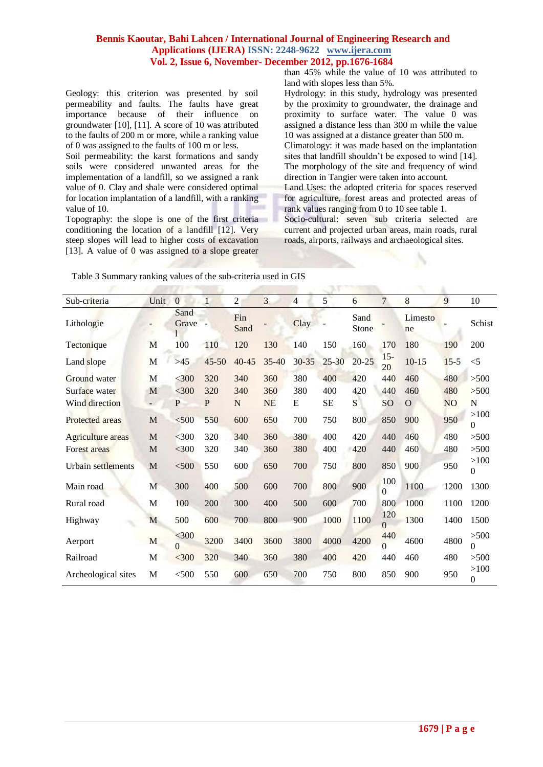Geology: this criterion was presented by soil permeability and faults. The faults have great importance because of their influence on groundwater [10], [11]. A score of 10 was attributed to the faults of 200 m or more, while a ranking value of 0 was assigned to the faults of 100 m or less.

Soil permeability: the karst formations and sandy soils were considered unwanted areas for the implementation of a landfill, so we assigned a rank value of 0. Clay and shale were considered optimal for location implantation of a landfill, with a ranking value of 10.

Topography: the slope is one of the first criteria conditioning the location of a landfill [12]. Very steep slopes will lead to higher costs of excavation [13]. A value of 0 was assigned to a slope greater

than 45% while the value of 10 was attributed to land with slopes less than 5%.

Hydrology: in this study, hydrology was presented by the proximity to groundwater, the drainage and proximity to surface water. The value 0 was assigned a distance less than 300 m while the value 10 was assigned at a distance greater than 500 m. Climatology: it was made based on the implantation sites that landfill shouldn't be exposed to wind [14]. The morphology of the site and frequency of wind direction in Tangier were taken into account. Land Uses: the adopted criteria for spaces reserved

for agriculture, forest areas and protected areas of rank values ranging from 0 to 10 see table 1. Socio-cultural: seven sub criteria selected are current and projected urban areas, main roads, rural roads, airports, railways and archaeological sites.

| Sub-criteria        | Unit        | $\mathbf{0}$  | $\mathbf{1}$ | $\overline{c}$ | 3         | $\overline{\mathcal{A}}$ | 5         | 6             | $\overline{7}$  | 8             | 9              | 10                   |
|---------------------|-------------|---------------|--------------|----------------|-----------|--------------------------|-----------|---------------|-----------------|---------------|----------------|----------------------|
| Lithologie          |             | Sand<br>Grave |              | Fin<br>Sand    |           | Clay                     |           | Sand<br>Stone |                 | Limesto<br>ne |                | Schist               |
| Tectonique          | M           | 100           | 110          | 120            | 130       | 140                      | 150       | 160           | 170             | 180           | 190            | 200                  |
| Land slope          | M           | >45           | $45 - 50$    | $40 - 45$      | $35 - 40$ | $30 - 35$                | $25 - 30$ | $20 - 25$     | $15 -$<br>20    | $10 - 15$     | $15 - 5$       | $<$ 5                |
| Ground water        | $\mathbf M$ | $<$ 300       | 320          | 340            | 360       | 380                      | 400       | 420           | 440             | 460           | 480            | >500                 |
| Surface water       | M           | $<$ 300       | 320          | 340            | 360       | 380                      | 400       | 420           | 440             | 460           | 480            | >500                 |
| Wind direction      |             | P             | P            | N              | <b>NE</b> | E                        | <b>SE</b> | S             | SO              | $\Omega$      | N <sub>O</sub> | N                    |
| Protected areas     | M           | < 500         | 550          | 600            | 650       | 700                      | 750       | 800           | 850             | 900           | 950            | >100<br>$\Omega$     |
| Agriculture areas   | M           | $<$ 300       | 320          | 340            | 360       | 380                      | 400       | 420           | 440             | 460           | 480            | $>500$               |
| Forest areas        | M           | $<$ 300       | 320          | 340            | 360       | 380                      | 400       | 420           | 440             | 460           | 480            | >500                 |
| Urbain settlements  | M           | $<$ 500       | 550          | 600            | 650       | 700                      | 750       | 800           | 850             | 900           | 950            | >100<br>$\Omega$     |
| Main road           | M           | 300           | 400          | 500            | 600       | 700                      | 800       | 900           | 100<br>$\Omega$ | 1100          | 1200           | 1300                 |
| Rural road          | M           | 100           | 200          | 300            | 400       | 500                      | 600       | 700           | 800             | 1000          | 1100           | 1200                 |
| Highway             | M           | 500           | 600          | 700            | 800       | 900                      | 1000      | 1100          | 120<br>$\Omega$ | 1300          | 1400           | 1500                 |
| Aerport             | M           | $300$<br>0    | 3200         | 3400           | 3600      | 3800                     | 4000      | 4200          | 440<br>$\Omega$ | 4600          | 4800           | $>500$<br>0          |
| Railroad            | M           | $<$ 300       | 320          | 340            | 360       | 380                      | 400       | 420           | 440             | 460           | 480            | >500                 |
| Archeological sites | M           | $<$ 500       | 550          | 600            | 650       | 700                      | 750       | 800           | 850             | 900           | 950            | >100<br>$\mathbf{0}$ |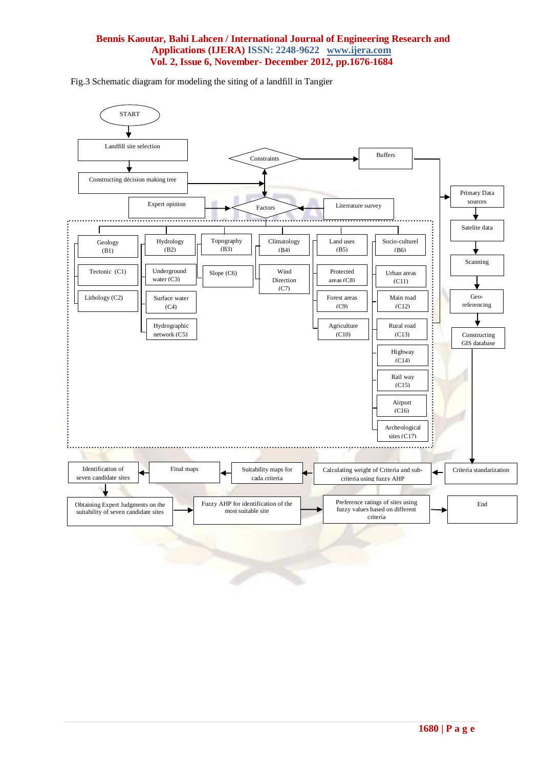Fig.3 Schematic diagram for modeling the siting of a landfill in Tangier

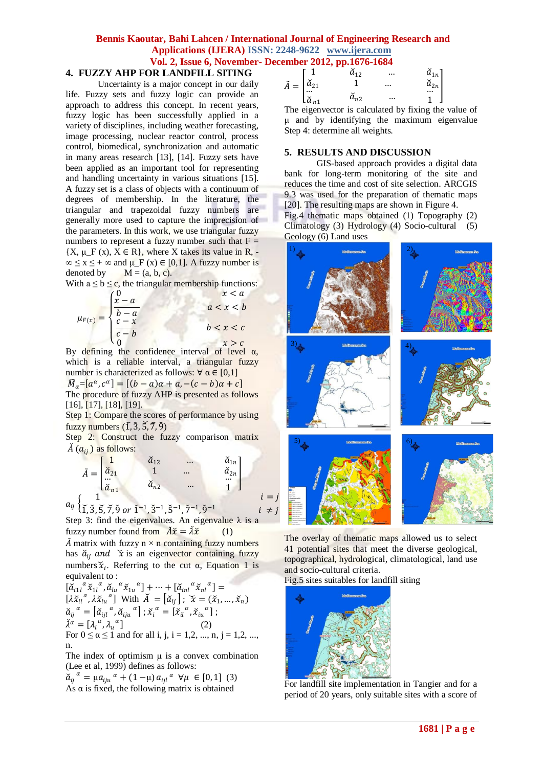# **4. FUZZY AHP FOR LANDFILL SITING**

Uncertainty is a major concept in our daily life. Fuzzy sets and fuzzy logic can provide an approach to address this concept. In recent years, fuzzy logic has been successfully applied in a variety of disciplines, including weather forecasting, image processing, nuclear reactor control, process control, biomedical, synchronization and automatic in many areas research [13], [14]. Fuzzy sets have been applied as an important tool for representing and handling uncertainty in various situations [15]. A fuzzy set is a class of objects with a continuum of degrees of membership. In the literature, the triangular and trapezoidal fuzzy numbers are generally more used to capture the imprecision of the parameters. In this work, we use triangular fuzzy numbers to represent a fuzzy number such that  $F =$  ${X, \mu_F(x), X \in R}$ , where X takes its value in R, - $\infty \le x \le +\infty$  and  $\mu_F(x) \in [0,1]$ . A fuzzy number is denoted by  $M = (a, b, c)$ .

With  $a \le b \le c$ , the triangular membership functions:

 $\mu_{F(x)} =$  $\overline{\mathcal{L}}$  $\mathbf{I}$  $\mathbf{I}$ ł  $\begin{cases} 0 & x < a \\ x - a & \end{cases}$  $\frac{b-a}{c-x}$  $a < x < b$  $c-b$  $b < x < c$ 0  $x > c$ 

By defining the confidence interval of level  $\alpha$ , which is a reliable interval, a triangular fuzzy number is characterized as follows:  $\forall \alpha \in [0,1]$ 

 $\widetilde{M}_\alpha = [a^\alpha, c^\alpha] = [(b-a)\alpha + a, -(c-b)\alpha + c]$ The procedure of fuzzy AHP is presented as follows [16], [17], [18], [19].

Step 1: Compare the scores of performance by using fuzzy numbers  $(\tilde{1}, \tilde{3}, \tilde{5}, \tilde{7}, \tilde{9})$ 

Step 2: Construct the fuzzy comparison matrix  $\check{A}$   $(a_{ij})$  as follows:

$$
\tilde{A} = \begin{bmatrix}\n1 & \tilde{a}_{12} & \cdots & \tilde{a}_{1n} \\
\tilde{a}_{21} & 1 & \cdots & \tilde{a}_{2n} \\
\vdots & \vdots & \ddots & \vdots \\
\tilde{a}_{n1} & \tilde{a}_{n2} & \cdots & 1\n\end{bmatrix}
$$
\n
$$
a_{ij} \begin{Bmatrix}\n1 & \tilde{a}_{12} & \cdots & \tilde{a}_{2n} \\
\tilde{a}_{21} & 1 & \cdots & \tilde{a}_{2n} \\
\vdots & \vdots & \vdots & \vdots \\
\tilde{a}_{n2} & \cdots & 1 & \tilde{a}_{2n}\n\end{Bmatrix}
$$
\n $i = j$ 

 $\check{1}, \check{3}, \check{5}, \check{7}, \check{9}$  or  $\check{1}^{-1}, \check{3}^{-1}, \check{5}^{-1}, \check{7}^{-1}, \check{9}^{-1}$  $i \neq j$ Step 3: find the eigenvalues. An eigenvalue  $\lambda$  is a fuzzy number found from  $\check{A}\check{x} = \check{\lambda}\check{x}$  (1)

 $\check{A}$  matrix with fuzzy n  $\times$  n containing fuzzy numbers has  $\check{a}_{ii}$  and  $\check{x}$  is an eigenvector containing fuzzy numbers  $\tilde{x}_i$ . Referring to the cut  $\alpha$ , Equation 1 is equivalent to :

 $\left[\bar{\alpha}_{i1l}^{\alpha} \tilde{x}_{1l}^{\alpha}, \tilde{\alpha}_{lu}^{\alpha} \tilde{x}_{1u}^{\alpha}\right] + \cdots + \left[\tilde{\alpha}_{inl}^{\alpha} \tilde{x}_{nl}^{\alpha}\right] =$  $[\lambda \tilde{x}_{il}^{\alpha}, \lambda \tilde{x}_{iu}^{\alpha}]$  With  $\tilde{A} = [\tilde{a}_{ij}]$ ;  $\tilde{x} = (\tilde{x}_1, ..., \tilde{x}_n)$  $\check{a}_{ij}^{\alpha} = \left[ \check{a}_{ijl}^{\alpha}, \check{a}_{iju}^{\alpha} \right]$ ;  $\check{x}_{i}^{\alpha} = \left[ \check{x}_{il}^{\alpha}, \check{x}_{iu}^{\alpha} \right]$ ;  $\check{\lambda}^{\alpha} = [\lambda_l^{\alpha}, \lambda_u^{\alpha}]$  (2)  $\lambda^{\alpha} = [\lambda_{l}^{\alpha}, \lambda_{u}^{\alpha}]$  (2)<br>For  $0 \le \alpha \le 1$  and for all i, j, i = 1,2, ..., n, j = 1,2, ..., n.

The index of optimism  $\mu$  is a convex combination (Lee et al, 1999) defines as follows:

 $\check{a}_{ij}^{\alpha} = \mu a_{iju}^{\alpha} + (1 - \mu) a_{ijl}^{\alpha} \ \forall \mu \in [0, 1] \ (3)$ As  $\alpha$  is fixed, the following matrix is obtained

|                                         |                              | a12             |          | $\check a_{1n}$  |
|-----------------------------------------|------------------------------|-----------------|----------|------------------|
| $\tilde{ }$<br>$\overline{\phantom{m}}$ | $\check a_{21}$              |                 | $\cdots$ | $\check{a}_{2n}$ |
|                                         | $\cdots$<br>$\check{a}_{n1}$ | $\check a_{n2}$ | $\cdots$ |                  |

The eigenvector is calculated by fixing the value of μ and by identifying the maximum eigenvalue Step 4: determine all weights.

#### **5. RESULTS AND DISCUSSION**

GIS-based approach provides a digital data bank for long-term monitoring of the site and reduces the time and cost of site selection. ARCGIS 9.3 was used for the preparation of thematic maps [20]. The resulting maps are shown in Figure 4. Fig.4 thematic maps obtained (1) Topography (2)

Climatology (3) Hydrology (4) Socio-cultural (5) Geology (6) Land uses



The overlay of thematic maps allowed us to select 41 potential sites that meet the diverse geological, topographical, hydrological, climatological, land use and socio-cultural criteria.

Fig.5 sites suitables for landfill siting



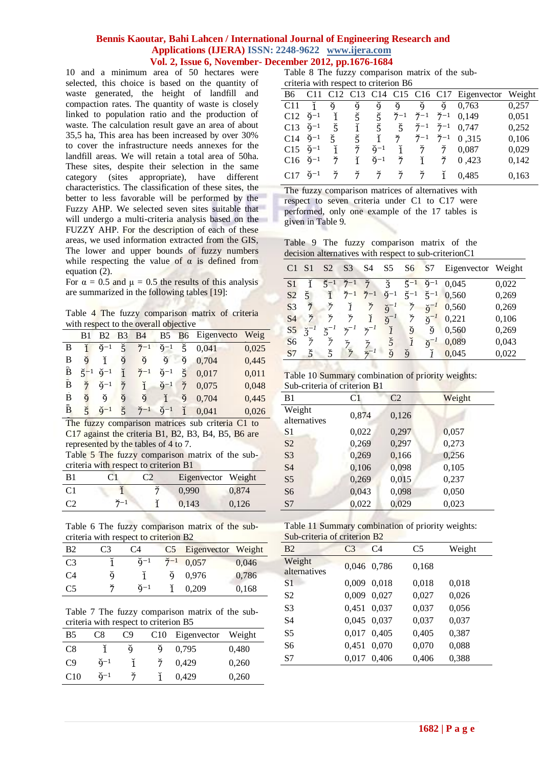10 and a minimum area of 50 hectares were selected, this choice is based on the quantity of waste generated, the height of landfill and compaction rates. The quantity of waste is closely linked to population ratio and the production of waste. The calculation result gave an area of about 35,5 ha, This area has been increased by over 30% to cover the infrastructure needs annexes for the landfill areas. We will retain a total area of 50ha. These sites, despite their selection in the same category (sites appropriate), have different characteristics. The classification of these sites, the better to less favorable will be performed by the Fuzzy AHP. We selected seven sites suitable that will undergo a multi-criteria analysis based on the FUZZY AHP. For the description of each of these areas, we used information extracted from the GIS, The lower and upper bounds of fuzzy numbers while respecting the value of  $\alpha$  is defined from equation (2).

For  $\alpha = 0.5$  and  $\mu = 0.5$  the results of this analysis are summarized in the following tables [19]:

Table 4 The fuzzy comparison matrix of criteria with respect to the overall objective

|   | B1      | B <sub>2</sub>            | B <sub>3</sub>       | <b>B4</b>                         |                              | B5 B6 Eigenvecto                                                                 | Weig  |
|---|---------|---------------------------|----------------------|-----------------------------------|------------------------------|----------------------------------------------------------------------------------|-------|
| В | ĭ       |                           |                      |                                   |                              | $\check{9}^{-1}$ $\check{5}$ $\check{7}^{-1}$ $\check{9}^{-1}$ $\check{5}$ 0.041 | 0,025 |
| В | $\zeta$ |                           |                      |                                   |                              | $\check{1}$ $\check{9}$ $\check{9}$ $\check{9}$ $\check{9}$ 0.704                | 0,445 |
| B |         | $\zeta^{-1}$ $\zeta^{-1}$ | $\check{1}$          | $\check{7}^{-1}$ $\check{9}^{-1}$ |                              | 50.017                                                                           | 0,011 |
| B | ž,      | $\check{q}-1$             | Ť.                   |                                   | $\check{1}$ $\check{9}^{-1}$ | 70.075                                                                           | 0,048 |
| В | ğ       | ğ                         | ğ                    | ğ                                 | $\check{1}$                  | $\check{9}$ 0,704                                                                | 0,445 |
| B |         | $5 \ 9^{-1}$              | $\check{\mathsf{r}}$ |                                   |                              | $\check{7}^{-1}$ $\check{9}^{-1}$ 1 0.041                                        | 0,026 |

The fuzzy comparison matrices sub criteria C1 to C17 against the criteria B1, B2, B3, B4, B5, B6 are represented by the tables of 4 to 7.

Table 5 The fuzzy comparison matrix of the subcriteria with respect to criterion B1

| B1             | CI              | Eigenvector Weight |       |
|----------------|-----------------|--------------------|-------|
| C <sub>1</sub> |                 | 0.990              | 0.874 |
| $\Gamma$       | $\check{7} - 1$ | 0,143              | 0,126 |

Table 6 The fuzzy comparison matrix of the subcriteria with respect to criterion B2

| <b>B</b> <sub>2</sub> | C <sub>3</sub> | C4                |   | C5 Eigenvector Weight  |       |
|-----------------------|----------------|-------------------|---|------------------------|-------|
| C <sub>3</sub>        |                | $\mathbf{a}^{-1}$ |   | $\check{7}^{-1}$ 0.057 | 0,046 |
| C <sub>4</sub>        | ğ              | $\mathbf{1}$      | ğ | 0.976                  | 0,786 |
| C <sub>5</sub>        | ř              | $\mathsf{d}^{-1}$ |   | 0.209                  | 0.168 |

Table 7 The fuzzy comparison matrix of the subcriteria with respect to criterion B5

| <b>B5</b>       | C8                | C9 |   | C10 Eigenvector | Weight |
|-----------------|-------------------|----|---|-----------------|--------|
| C8              |                   | ğ  | q | 0.795           | 0,480  |
| C9              | $\check{q}^{-1}$  |    |   | 0,429           | 0,260  |
| C <sub>10</sub> | $\mathbf{Q}^{-1}$ |    |   | 0,429           | 0,260  |

Table 8 The fuzzy comparison matrix of the subcriteria with respect to criterion B6

|                     | B6 C11              |             |                                     |                              |                                     |                                |    | C12 C13 C14 C15 C16 C17 Eigenvector Weight |       |
|---------------------|---------------------|-------------|-------------------------------------|------------------------------|-------------------------------------|--------------------------------|----|--------------------------------------------|-------|
|                     | C11 1               | ğ           | ğ,                                  | ğ,                           |                                     |                                |    | $\check{q}$ $\check{q}$ $\check{q}$ 0.763  | 0,257 |
|                     | $C12 \; 9^{-1}$     |             | $\check{1}$ $\check{5}$ $\check{5}$ |                              | $\check{7}^{-1}$                    |                                |    | $\check{7}^{-1}$ $\check{7}^{-1}$ 0,149    | 0,051 |
|                     | $C13 \; \v{9}^{-1}$ | č,          |                                     |                              | $\check{1}$ $\check{5}$ $\check{5}$ |                                |    | $\check{7}^{-1}$ $\check{7}^{-1}$ 0.747    | 0,252 |
| $C14 \; \v{9}^{-1}$ |                     | Ř.          |                                     | $5 \t 1$                     | $\check{7}$                         |                                |    | $\check{7}^{-1}$ $\check{7}^{-1}$ 0.315    | 0,106 |
|                     | $C15 \; \v{9}^{-1}$ | ĭ           | Ť.                                  | $\check{q}$ <sup>-1</sup>    |                                     |                                |    | $\check{1}$ $\check{7}$ $\check{7}$ 0.087  | 0,029 |
| $C16 \; \v{9}^{-1}$ |                     | ž           |                                     | $\check{1}$ $\check{9}^{-1}$ | $\check{7}$                         |                                |    | $\check{1}$ $\check{7}$ 0.423              | 0,142 |
| $C17 \; \v{9}^{-1}$ |                     | $\check{7}$ |                                     |                              |                                     | うううう ううしょう ういこう うんこう うんこう うんこう | ĭ. | 0.485                                      | 0,163 |

The fuzzy comparison matrices of alternatives with respect to seven criteria under C1 to C17 were performed, only one example of the 17 tables is given in Table 9.

|  |  | Table 9 The fuzzy comparison matrix of the            |  |  |
|--|--|-------------------------------------------------------|--|--|
|  |  | decision alternatives with respect to sub-criterionC1 |  |  |

| C <sub>1</sub> | S <sub>1</sub>       | S <sub>2</sub> | S <sub>3</sub>   | S4               | S5                        | S6               | S <sub>7</sub>        | Eigenvector Weight |       |
|----------------|----------------------|----------------|------------------|------------------|---------------------------|------------------|-----------------------|--------------------|-------|
| S <sub>1</sub> |                      | $\xi$ -1       | $\check{7}^{-1}$ | $\check{7}$      | $\check{3}$               | $\check{5}^{-1}$ | $\zeta$ -1            | 0.045              | 0,022 |
| S <sub>2</sub> | Š.                   | ĭ              | $\check{7}^{-1}$ | $\check{7}^{-1}$ | $\check{q}$ -1            | $\zeta^{-1}$     | $\zeta$ <sup>-1</sup> | 0,560              | 0,269 |
| S <sub>3</sub> | Ť                    | $\check{7}$    | $\tilde{l}$      | 7                | $\check{\mathbf{Q}}^{-1}$ | $\check{7}$      | $\delta^{-1}$         | 0,560              | 0,269 |
| S4             | ž                    | ž              | 7                | $\check{I}$      | $\check{\mathbf{Q}}^{-1}$ | $\frac{9}{7}$    | $\delta^{-1}$         | 0,221              | 0,106 |
| S <sub>5</sub> | $\widetilde{3}^{-1}$ |                |                  |                  | $\check{I}$               | ğ                | ğ                     | 0.560              | 0,269 |
| S <sub>6</sub> | ž                    | ž              | $\check{7}$      | ž                | 5                         |                  | $\delta^{-1}$         | 0,089              | 0,043 |
| S7             | 5                    | $\check{5}$    | ž                |                  | ŏ                         | ğ                |                       | 0.045              | 0,022 |

Table 10 Summary combination of priority weights: Sub-criteria of criterion B1

| B1                     | C1    | C <sub>2</sub> | Weight |
|------------------------|-------|----------------|--------|
| Weight<br>alternatives | 0,874 | 0,126          |        |
| S1                     | 0,022 | 0,297          | 0,057  |
| S <sub>2</sub>         | 0,269 | 0,297          | 0,273  |
| S <sub>3</sub>         | 0,269 | 0,166          | 0,256  |
| <b>S4</b>              | 0,106 | 0,098          | 0,105  |
| S <sub>5</sub>         | 0,269 | 0,015          | 0,237  |
| S <sub>6</sub>         | 0,043 | 0,098          | 0,050  |
| S7                     | 0,022 | 0,029          | 0,023  |
|                        |       |                |        |

|                              | Table 11 Summary combination of priority weights: |  |
|------------------------------|---------------------------------------------------|--|
| Sub-criteria of criterion B2 |                                                   |  |

| $\mathcal{S}$ uv-chicha oi chicholi Dz |                |                |                |        |  |  |  |  |
|----------------------------------------|----------------|----------------|----------------|--------|--|--|--|--|
| <b>B2</b>                              | C <sub>3</sub> | C <sub>4</sub> | C <sub>5</sub> | Weight |  |  |  |  |
| Weight<br>alternatives                 |                | 0,046 0.786    | 0,168          |        |  |  |  |  |
| S <sub>1</sub>                         | 0,009          | 0.018          | 0,018          | 0,018  |  |  |  |  |
| S <sub>2</sub>                         | 0,009          | 0.027          | 0,027          | 0,026  |  |  |  |  |
| S <sub>3</sub>                         | 0,451          | 0,037          | 0,037          | 0,056  |  |  |  |  |
| S4                                     | 0,045          | 0.037          | 0,037          | 0,037  |  |  |  |  |
| S5                                     | 0,017          | 0,405          | 0,405          | 0,387  |  |  |  |  |
| S6                                     | 0,451          | 0,070          | 0,070          | 0,088  |  |  |  |  |
| S7                                     | 0,017          | 0.406          | 0,406          | 0,388  |  |  |  |  |
|                                        |                |                |                |        |  |  |  |  |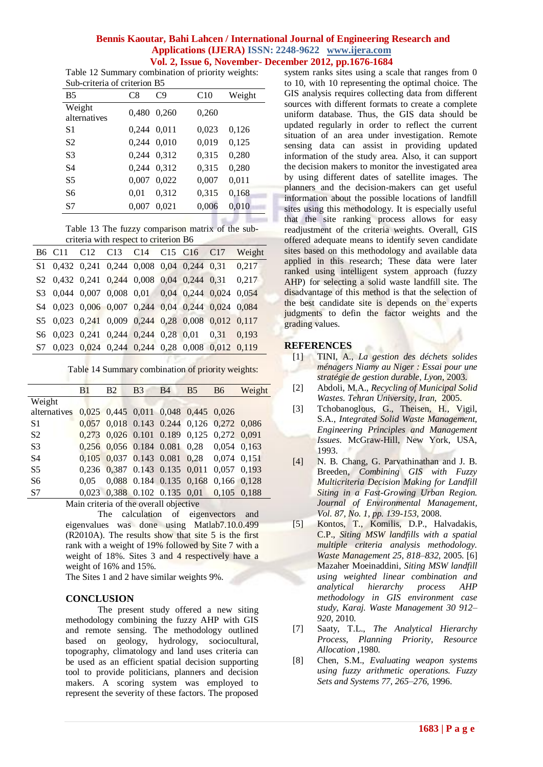Table 12 Summary combination of priority weights: Sub-criteria of criterion B5

| sas emena si chemon de |       |       |       |        |  |  |  |  |
|------------------------|-------|-------|-------|--------|--|--|--|--|
| B <sub>5</sub>         | C8    | C9    | C10   | Weight |  |  |  |  |
| Weight<br>alternatives | 0,480 | 0.260 | 0,260 |        |  |  |  |  |
| S1                     | 0,244 | 0,011 | 0,023 | 0,126  |  |  |  |  |
| S2                     | 0,244 | 0,010 | 0,019 | 0,125  |  |  |  |  |
| S <sub>3</sub>         | 0.244 | 0.312 | 0,315 | 0,280  |  |  |  |  |
| S4                     | 0.244 | 0.312 | 0,315 | 0,280  |  |  |  |  |
| S5                     | 0.007 | 0.022 | 0,007 | 0,011  |  |  |  |  |
| S6                     | 0.01  | 0,312 | 0,315 | 0,168  |  |  |  |  |
| S7                     | 0,007 | 0,021 | 0,006 | 0,010  |  |  |  |  |
|                        |       |       |       |        |  |  |  |  |

Table 13 The fuzzy comparison matrix of the subcriteria with respect to criterion B6

|  | B6 C11 C12 C13 C14 C15 C16 C17                     |  |  | Weight |
|--|----------------------------------------------------|--|--|--------|
|  | \$1 0,432 0,241 0,244 0,008 0,04 0,244 0,31 0,217  |  |  |        |
|  | \$2 0,432 0,241 0,244 0,008 0,04 0,244 0,31 0,217  |  |  |        |
|  | \$3 0,044 0,007 0,008 0,01 0,04 0,244 0,024 0,054  |  |  |        |
|  | \$4 0,023 0,006 0,007 0,244 0,04 0,244 0,024 0,084 |  |  |        |
|  | \$5 0,023 0,241 0,009 0,244 0,28 0,008 0,012 0,117 |  |  |        |
|  | \$6 0,023 0,241 0,244 0,244 0,28 0,01 0,31 0,193   |  |  |        |
|  | \$7 0,023 0,024 0,244 0,244 0,28 0,008 0,012 0,119 |  |  |        |

Table 14 Summary combination of priority weights:

|                                                                                                                                                                                                                                                                                                             | B <sub>1</sub> | B <sub>2</sub>                            | B <sub>3</sub> | <b>B</b> 4              | B <sub>5</sub> | <b>B6</b>   | Weight |
|-------------------------------------------------------------------------------------------------------------------------------------------------------------------------------------------------------------------------------------------------------------------------------------------------------------|----------------|-------------------------------------------|----------------|-------------------------|----------------|-------------|--------|
| Weight                                                                                                                                                                                                                                                                                                      |                |                                           |                |                         |                |             |        |
| alternatives 0,025 0,445 0,011 0,048 0,445 0,026                                                                                                                                                                                                                                                            |                |                                           |                |                         |                |             |        |
| S <sub>1</sub>                                                                                                                                                                                                                                                                                              |                | 0,057 0,018 0.143 0.244 0,126 0,272 0,086 |                |                         |                |             |        |
| S <sub>2</sub>                                                                                                                                                                                                                                                                                              |                | 0,273 0,026 0.101 0.189 0,125 0,272 0,091 |                |                         |                |             |        |
| S <sub>3</sub>                                                                                                                                                                                                                                                                                              |                | 0,256 0,056 0.184 0.081 0,28 0,054 0,163  |                |                         |                |             |        |
| S4                                                                                                                                                                                                                                                                                                          |                | 0,105 0,037 0.143 0.081 0,28 0,074 0,151  |                |                         |                |             |        |
| S5                                                                                                                                                                                                                                                                                                          |                | 0,236 0,387 0.143 0.135 0,011 0,057 0,193 |                |                         |                |             |        |
| S6                                                                                                                                                                                                                                                                                                          | $0.05 -$       |                                           |                | 0,088 0.184 0.135 0,168 |                | 0.166 0.128 |        |
| S7                                                                                                                                                                                                                                                                                                          |                | 0,023 0,388 0.102 0.135 0,01 0,105 0,188  |                |                         |                |             |        |
| $\mathbf{v}$ , $\mathbf{v}$ , $\mathbf{v}$ , $\mathbf{v}$ , $\mathbf{v}$ , $\mathbf{v}$ , $\mathbf{v}$ , $\mathbf{v}$ , $\mathbf{v}$ , $\mathbf{v}$ , $\mathbf{v}$ , $\mathbf{v}$ , $\mathbf{v}$ , $\mathbf{v}$ , $\mathbf{v}$ , $\mathbf{v}$ , $\mathbf{v}$ , $\mathbf{v}$ , $\mathbf{v}$ , $\mathbf{v}$ , |                |                                           |                |                         |                |             |        |

Main criteria of the overall objective

The calculation of eigenvectors and eigenvalues was done using Matlab7.10.0.499 (R2010A). The results show that site 5 is the first rank with a weight of 19% followed by Site 7 with a weight of 18%. Sites 3 and 4 respectively have a weight of 16% and 15%.

The Sites 1 and 2 have similar weights 9%.

# **CONCLUSION**

The present study offered a new siting methodology combining the fuzzy AHP with GIS and remote sensing. The methodology outlined based on geology, hydrology, sociocultural, topography, climatology and land uses criteria can be used as an efficient spatial decision supporting tool to provide politicians, planners and decision makers. A scoring system was employed to represent the severity of these factors. The proposed

system ranks sites using a scale that ranges from 0 to 10, with 10 representing the optimal choice. The GIS analysis requires collecting data from different sources with different formats to create a complete uniform database. Thus, the GIS data should be updated regularly in order to reflect the current situation of an area under investigation. Remote sensing data can assist in providing updated information of the study area. Also, it can support the decision makers to monitor the investigated area by using different dates of satellite images. The planners and the decision-makers can get useful information about the possible locations of landfill sites using this methodology. It is especially useful that the site ranking process allows for easy readjustment of the criteria weights. Overall, GIS offered adequate means to identify seven candidate sites based on this methodology and available data applied in this research; These data were later ranked using intelligent system approach (fuzzy AHP) for selecting a solid waste landfill site. The disadvantage of this method is that the selection of the best candidate site is depends on the experts judgments to defin the factor weights and the grading values.

# **REFERENCES**

- [1] TINI, A., *La gestion des déchets solides ménagers Niamy au Niger : Essai pour une stratégie de gestion durable, Lyon,* 2003.
- [2] Abdoli, M.A., *Recycling of Municipal Solid Wastes. Tehran University, Iran,* 2005.
- [3] Tchobanoglous, G., Theisen, H., Vigil, S.A., *Integrated Solid Waste Management, Engineering Principles and Management Issues*. McGraw-Hill, New York, USA, 1993.
- [4] N. B. Chang, G. Parvathinathan and J. B. Breeden, *Combining GIS with Fuzzy Multicriteria Decision Making for Landfill Siting in a Fast-Growing Urban Region. Journal of Environmental Management, Vol. 87, No. 1, pp. 139-153,* 2008.
- [5] Kontos, T., Komilis, D.P., Halvadakis, C.P., *Siting MSW landfills with a spatial multiple criteria analysis methodology. Waste Management 25, 818–832,* 2005. [6] Mazaher Moeinaddini, *Siting MSW landfill using weighted linear combination and analytical hierarchy process AHP methodology in GIS environment case study, Karaj. Waste Management 30 912– 920,* 2010.
- [7] Saaty, T.L., *The Analytical Hierarchy Process, Planning Priority, Resource Allocation ,*1980*.*
- [8] Chen, S.M., *Evaluating weapon systems using fuzzy arithmetic operations. Fuzzy Sets and Systems 77, 265–276,* 1996.